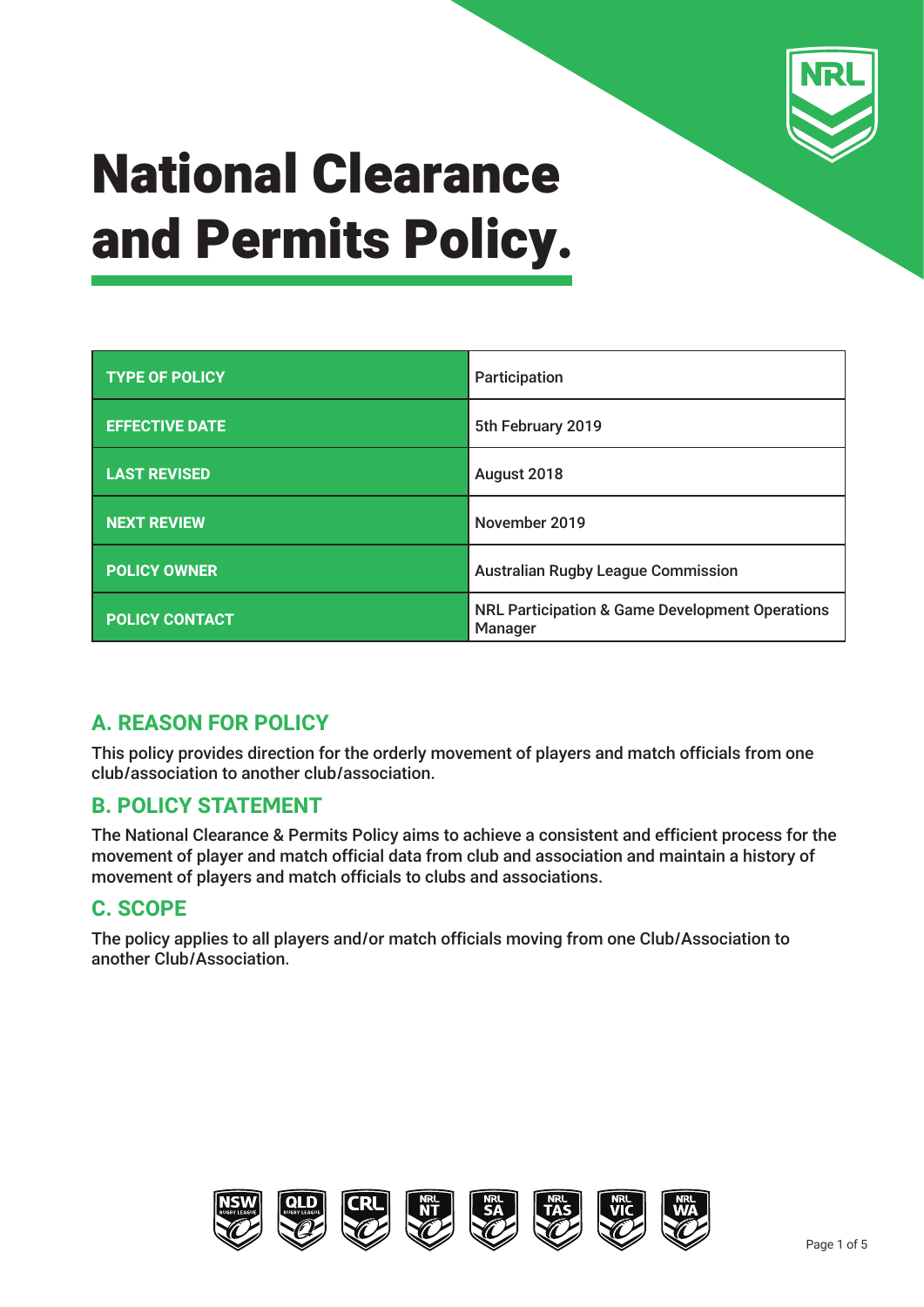

| <b>TYPE OF POLICY</b> | Participation                                                         |  |
|-----------------------|-----------------------------------------------------------------------|--|
| <b>EFFECTIVE DATE</b> | 5th February 2019                                                     |  |
| <b>LAST REVISED</b>   | August 2018                                                           |  |
| <b>NEXT REVIEW</b>    | November 2019                                                         |  |
| <b>POLICY OWNER</b>   | <b>Australian Rugby League Commission</b>                             |  |
| <b>POLICY CONTACT</b> | <b>NRL Participation &amp; Game Development Operations</b><br>Manager |  |

### **A. REASON FOR POLICY**

This policy provides direction for the orderly movement of players and match officials from one club/association to another club/association.

#### **B. POLICY STATEMENT**

The National Clearance & Permits Policy aims to achieve a consistent and efficient process for the movement of player and match official data from club and association and maintain a history of movement of players and match officials to clubs and associations.

### **C. SCOPE**

The policy applies to all players and/or match officials moving from one Club/Association to another Club/Association.

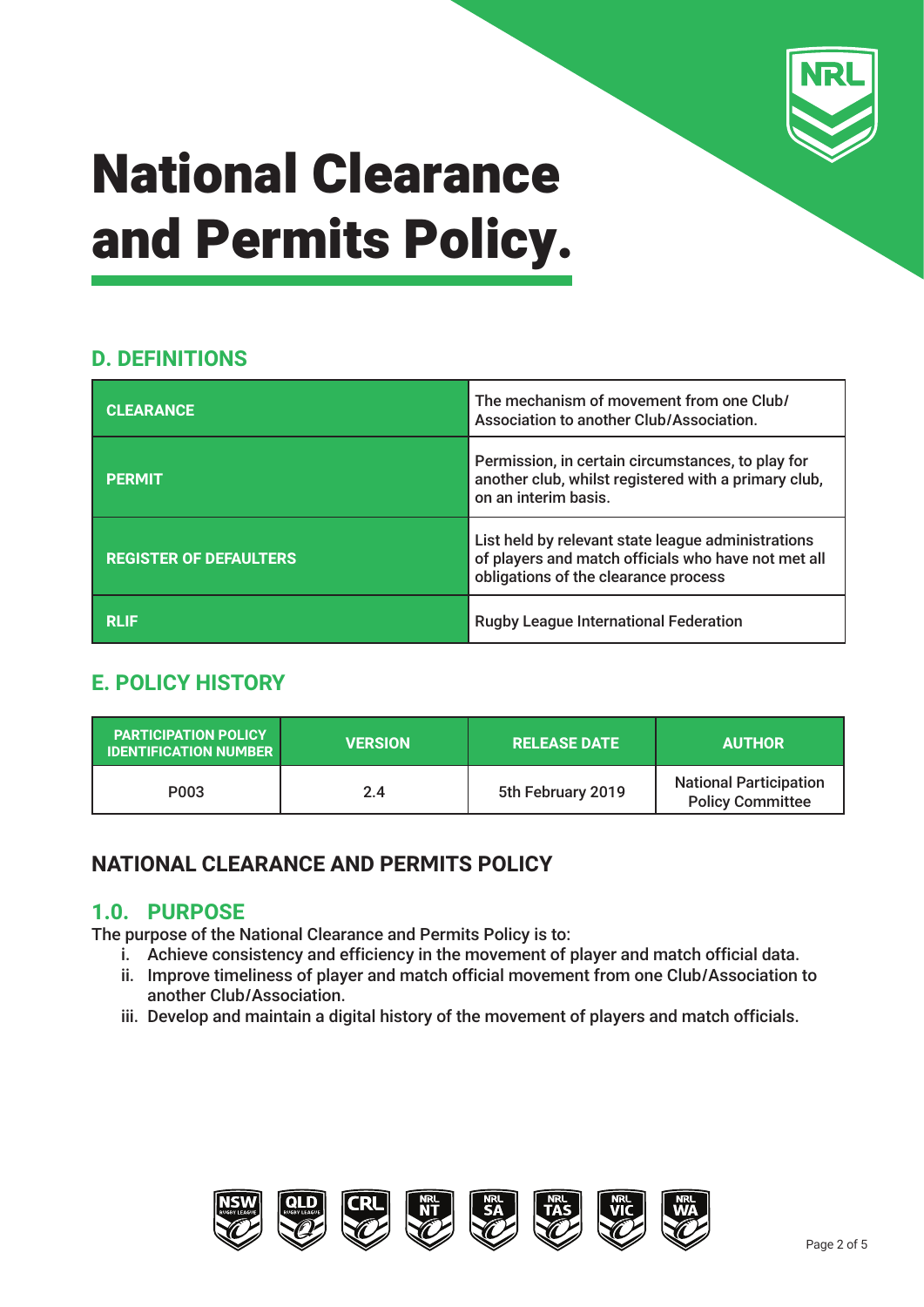

## **D. DEFINITIONS**

| <b>CLEARANCE</b>              | The mechanism of movement from one Club/<br>Association to another Club/Association.                                                              |  |
|-------------------------------|---------------------------------------------------------------------------------------------------------------------------------------------------|--|
| <b>PERMIT</b>                 | Permission, in certain circumstances, to play for<br>another club, whilst registered with a primary club,<br>on an interim basis.                 |  |
| <b>REGISTER OF DEFAULTERS</b> | List held by relevant state league administrations<br>of players and match officials who have not met all<br>obligations of the clearance process |  |
| <b>RLIF</b>                   | <b>Rugby League International Federation</b>                                                                                                      |  |

## **E. POLICY HISTORY**

| <b>PARTICIPATION POLICY</b><br><b>IDENTIFICATION NUMBER</b> | <b>VERSION</b> | <b>I RELEASE DATE '</b> | <b>AUTHOR</b>                                            |
|-------------------------------------------------------------|----------------|-------------------------|----------------------------------------------------------|
| P003                                                        | 2.4            | 5th February 2019       | <b>National Participation</b><br><b>Policy Committee</b> |

## **NATIONAL CLEARANCE AND PERMITS POLICY**

### **1.0. PURPOSE**

The purpose of the National Clearance and Permits Policy is to:

- i. Achieve consistency and efficiency in the movement of player and match official data.
- ii. Improve timeliness of player and match official movement from one Club/Association to another Club/Association.
- iii. Develop and maintain a digital history of the movement of players and match officials.

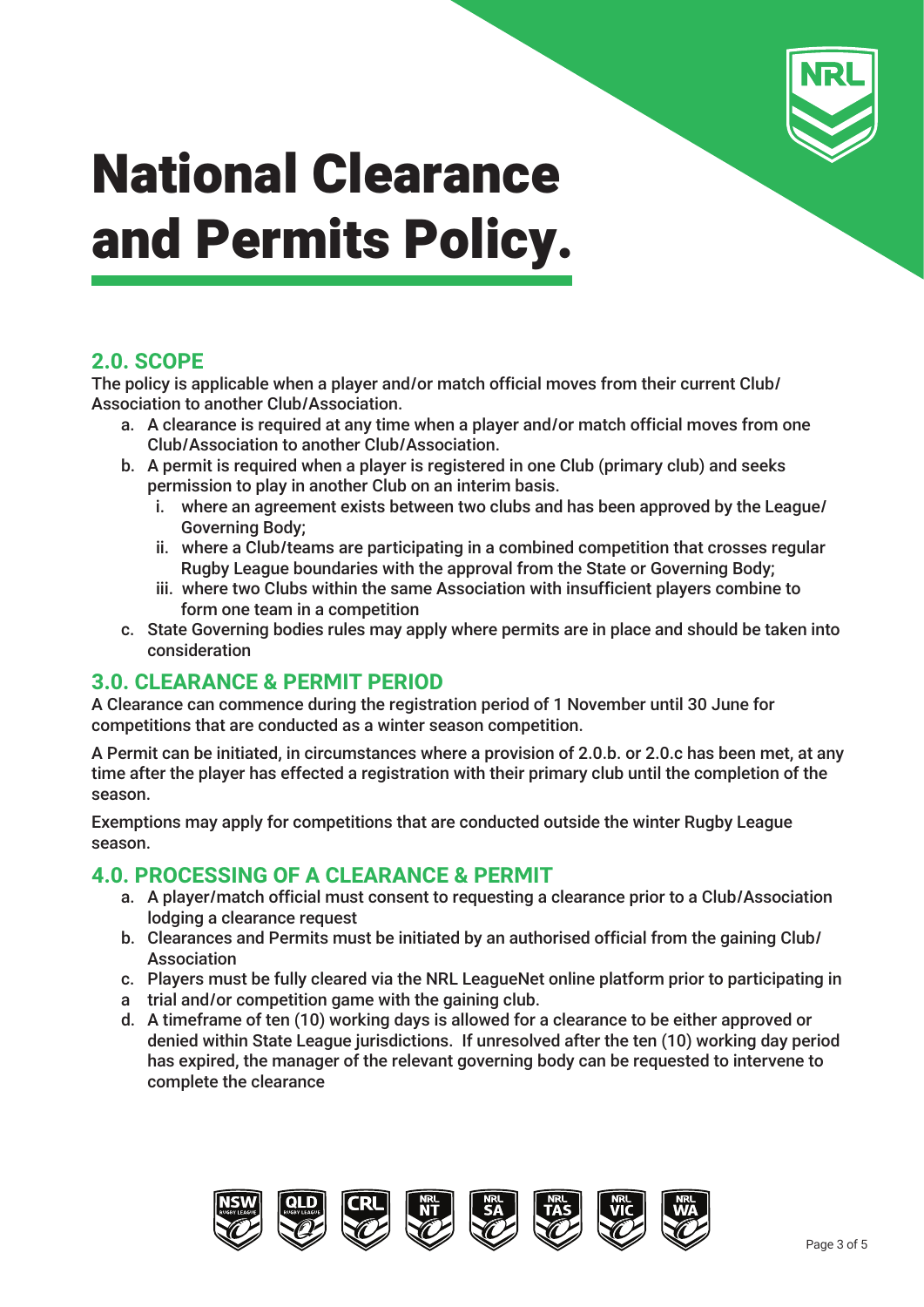

### **2.0. SCOPE**

The policy is applicable when a player and/or match official moves from their current Club/ Association to another Club/Association.

- a. A clearance is required at any time when a player and/or match official moves from one Club/Association to another Club/Association.
- b. A permit is required when a player is registered in one Club (primary club) and seeks permission to play in another Club on an interim basis.
	- i. where an agreement exists between two clubs and has been approved by the League/ Governing Body;
	- ii. where a Club/teams are participating in a combined competition that crosses regular Rugby League boundaries with the approval from the State or Governing Body;
	- iii. where two Clubs within the same Association with insufficient players combine to form one team in a competition
- c. State Governing bodies rules may apply where permits are in place and should be taken into consideration

### **3.0. CLEARANCE & PERMIT PERIOD**

A Clearance can commence during the registration period of 1 November until 30 June for competitions that are conducted as a winter season competition.

A Permit can be initiated, in circumstances where a provision of 2.0.b. or 2.0.c has been met, at any time after the player has effected a registration with their primary club until the completion of the season.

Exemptions may apply for competitions that are conducted outside the winter Rugby League season.

#### **4.0. PROCESSING OF A CLEARANCE & PERMIT**

- a. A player/match official must consent to requesting a clearance prior to a Club/Association lodging a clearance request
- b. Clearances and Permits must be initiated by an authorised official from the gaining Club/ Association
- c. Players must be fully cleared via the NRL LeagueNet online platform prior to participating in
- a trial and/or competition game with the gaining club.
- d. A timeframe of ten (10) working days is allowed for a clearance to be either approved or denied within State League jurisdictions. If unresolved after the ten (10) working day period has expired, the manager of the relevant governing body can be requested to intervene to complete the clearance

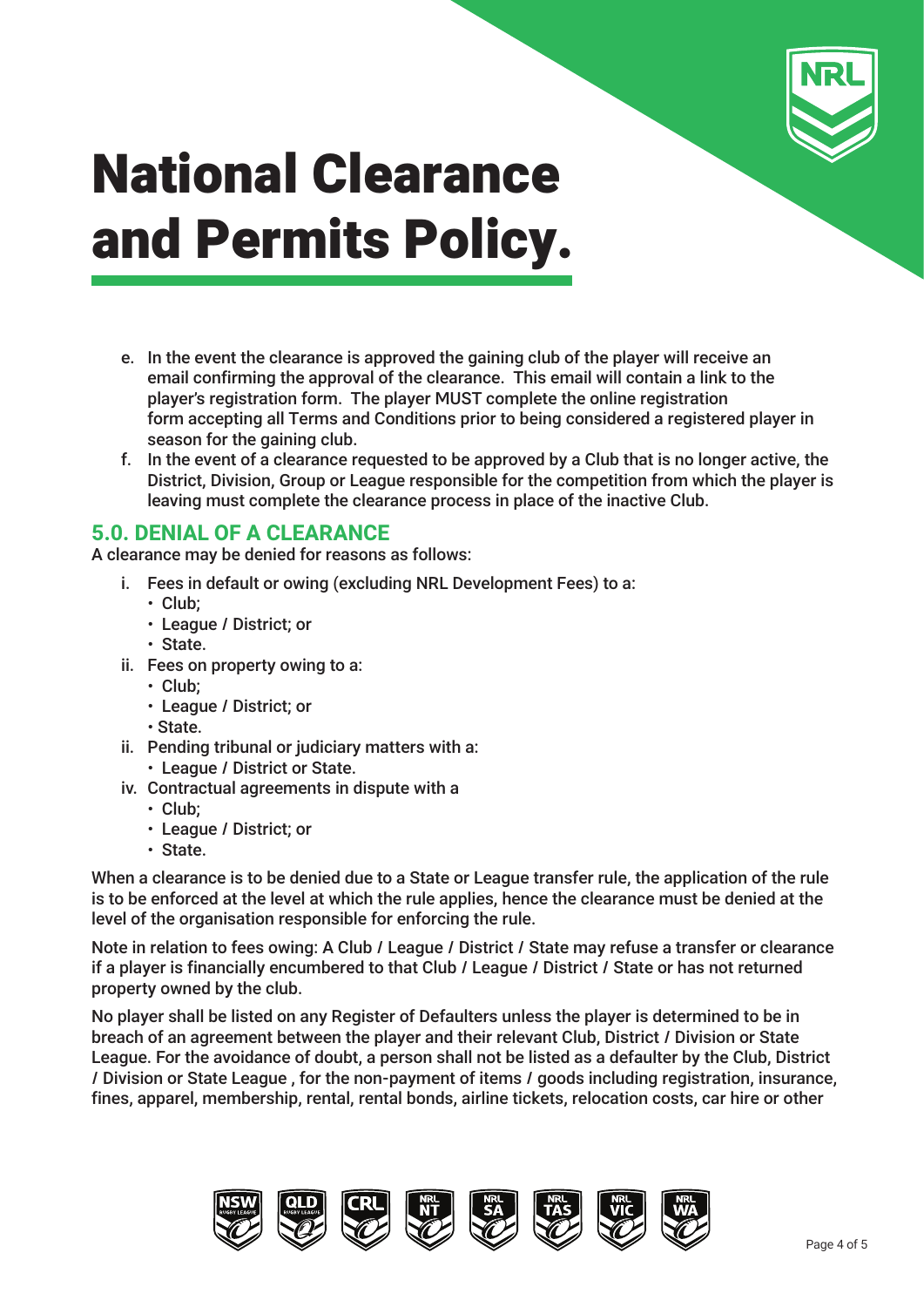

- e. In the event the clearance is approved the gaining club of the player will receive an email confirming the approval of the clearance. This email will contain a link to the player's registration form. The player MUST complete the online registration form accepting all Terms and Conditions prior to being considered a registered player in season for the gaining club.
- f. In the event of a clearance requested to be approved by a Club that is no longer active, the District, Division, Group or League responsible for the competition from which the player is leaving must complete the clearance process in place of the inactive Club.

#### **5.0. DENIAL OF A CLEARANCE**

A clearance may be denied for reasons as follows:

- i. Fees in default or owing (excluding NRL Development Fees) to a:
	- **•** Club;
	- **•** League / District; or
	- **•** State.
- ii. Fees on property owing to a:
	- **•** Club;
	- **•** League / District; or
	- **•** State.
- ii. Pending tribunal or judiciary matters with a:
	- **•** League / District or State.
- iv. Contractual agreements in dispute with a
	- **•** Club;
	- **•** League / District; or
	- **•** State.

When a clearance is to be denied due to a State or League transfer rule, the application of the rule is to be enforced at the level at which the rule applies, hence the clearance must be denied at the level of the organisation responsible for enforcing the rule.

Note in relation to fees owing: A Club / League / District / State may refuse a transfer or clearance if a player is financially encumbered to that Club / League / District / State or has not returned property owned by the club.

No player shall be listed on any Register of Defaulters unless the player is determined to be in breach of an agreement between the player and their relevant Club, District / Division or State League. For the avoidance of doubt, a person shall not be listed as a defaulter by the Club, District / Division or State League , for the non-payment of items / goods including registration, insurance, fines, apparel, membership, rental, rental bonds, airline tickets, relocation costs, car hire or other